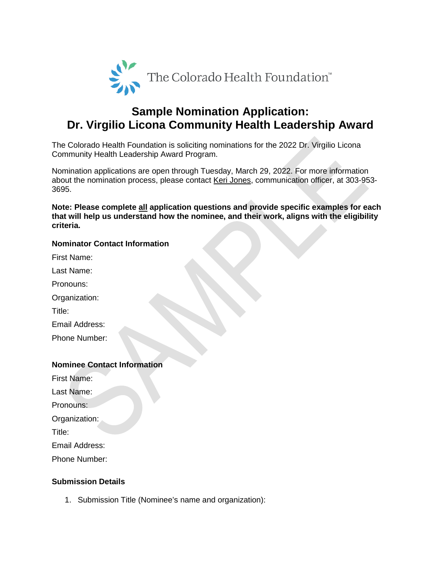

## **Sample Nomination Application: Dr. Virgilio Licona Community Health Leadership Award**

The Colorado Health Foundation is soliciting nominations for the 2022 Dr. Virgilio Licona Community Health Leadership Award Program.

Nomination applications are open through Tuesday, March 29, 2022. For more information about the nomination process, please contact [Keri Jones,](mailto:kjones@coloradohealth.org) communication officer, at 303-953- 3695.

**Note: Please complete all application questions and provide specific examples for each that will help us understand how the nominee, and their work, aligns with the eligibility criteria.**

## **Nominator Contact Information**

First Name:

Last Name:

Pronouns:

Organization:

Title:

Email Address:

Phone Number:

## **Nominee Contact Information**

First Name:

Last Name:

Pronouns:

Organization:

Title:

Email Address:

Phone Number:

## **Submission Details**

1. Submission Title (Nominee's name and organization):